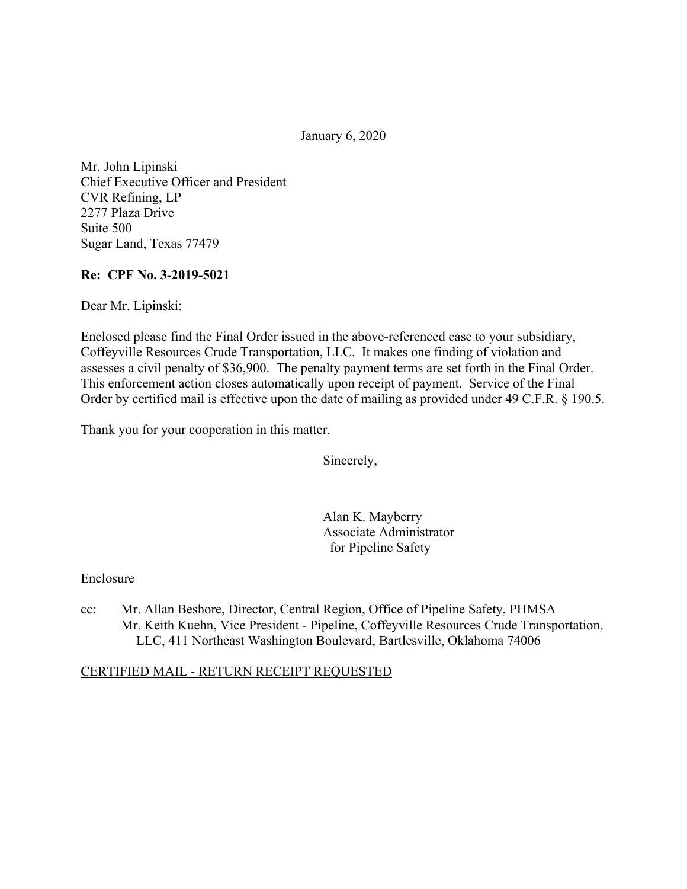January 6, 2020

Mr. John Lipinski Chief Executive Officer and President CVR Refining, LP 2277 Plaza Drive Suite 500 Sugar Land, Texas 77479

### **Re: CPF No. 3-2019-5021**

Dear Mr. Lipinski:

Enclosed please find the Final Order issued in the above-referenced case to your subsidiary, Coffeyville Resources Crude Transportation, LLC. It makes one finding of violation and assesses a civil penalty of \$36,900. The penalty payment terms are set forth in the Final Order. This enforcement action closes automatically upon receipt of payment. Service of the Final Order by certified mail is effective upon the date of mailing as provided under 49 C.F.R. § 190.5.

Thank you for your cooperation in this matter.

Sincerely,

Alan K. Mayberry Associate Administrator for Pipeline Safety

Enclosure

cc: Mr. Allan Beshore, Director, Central Region, Office of Pipeline Safety, PHMSA Mr. Keith Kuehn, Vice President - Pipeline, Coffeyville Resources Crude Transportation, LLC, 411 Northeast Washington Boulevard, Bartlesville, Oklahoma 74006

#### CERTIFIED MAIL - RETURN RECEIPT REQUESTED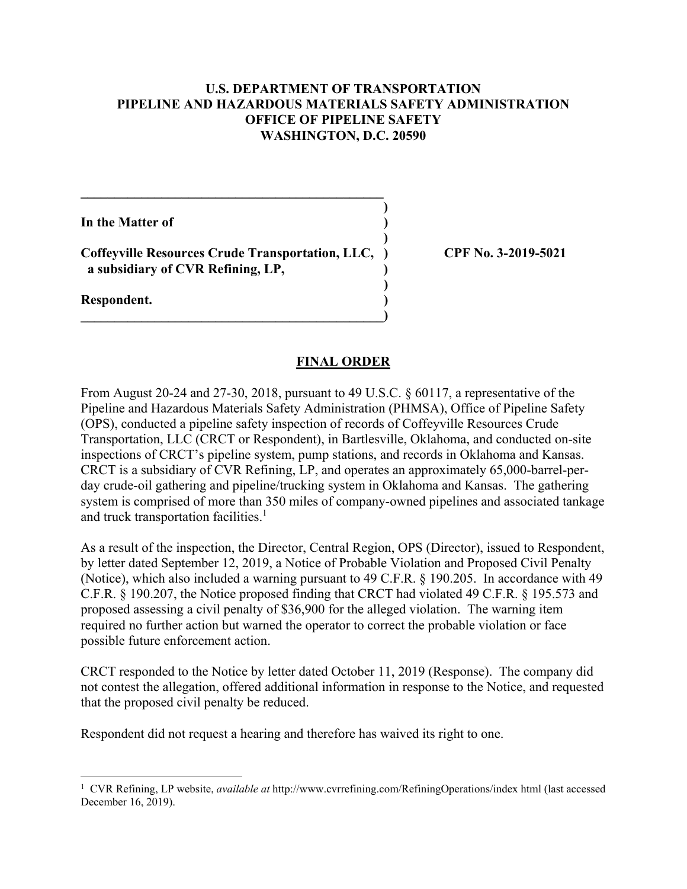### **U.S. DEPARTMENT OF TRANSPORTATION PIPELINE AND HAZARDOUS MATERIALS SAFETY ADMINISTRATION OFFICE OF PIPELINE SAFETY WASHINGTON, D.C. 20590**

**)** 

**)** 

**In the Matter of )** 

**Coffeyville Resources Crude Transportation, LLC, ) CPF No. 3-2019-5021 a subsidiary of CVR Refining, LP, )**

 **)** 

 $\overline{\phantom{a}}$ 

**\_\_\_\_\_\_\_\_\_\_\_\_\_\_\_\_\_\_\_\_\_\_\_\_\_\_\_\_\_\_\_\_\_\_\_\_\_\_\_\_\_\_\_\_\_** 

**Respondent. )** 

### **FINAL ORDER**

From August 20-24 and 27-30, 2018, pursuant to 49 U.S.C. § 60117, a representative of the Pipeline and Hazardous Materials Safety Administration (PHMSA), Office of Pipeline Safety (OPS), conducted a pipeline safety inspection of records of Coffeyville Resources Crude Transportation, LLC (CRCT or Respondent), in Bartlesville, Oklahoma, and conducted on-site inspections of CRCT's pipeline system, pump stations, and records in Oklahoma and Kansas. CRCT is a subsidiary of CVR Refining, LP, and operates an approximately 65,000-barrel-perday crude-oil gathering and pipeline/trucking system in Oklahoma and Kansas. The gathering system is comprised of more than 350 miles of company-owned pipelines and associated tankage and truck transportation facilities.<sup>1</sup>

As a result of the inspection, the Director, Central Region, OPS (Director), issued to Respondent, by letter dated September 12, 2019, a Notice of Probable Violation and Proposed Civil Penalty (Notice), which also included a warning pursuant to 49 C.F.R. § 190.205. In accordance with 49 C.F.R. § 190.207, the Notice proposed finding that CRCT had violated 49 C.F.R. § 195.573 and proposed assessing a civil penalty of \$36,900 for the alleged violation. The warning item required no further action but warned the operator to correct the probable violation or face possible future enforcement action.

CRCT responded to the Notice by letter dated October 11, 2019 (Response). The company did not contest the allegation, offered additional information in response to the Notice, and requested that the proposed civil penalty be reduced.

Respondent did not request a hearing and therefore has waived its right to one.

 1 CVR Refining, LP website, *available at* <http://www.cvrrefining.com/RefiningOperations/index>html (last accessed December 16, 2019).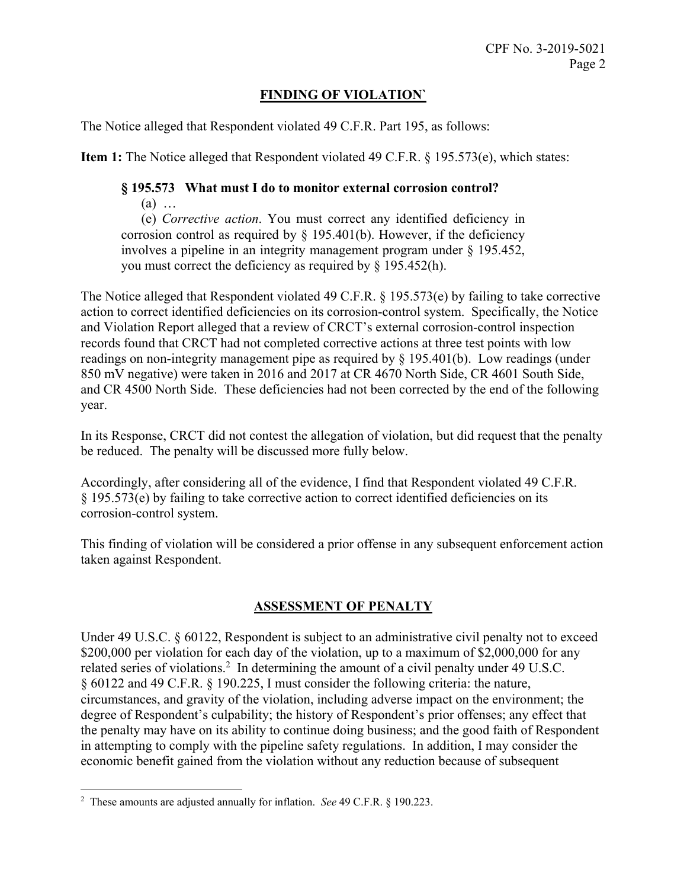# **FINDING OF VIOLATION`**

The Notice alleged that Respondent violated 49 C.F.R. Part 195, as follows:

**Item 1:** The Notice alleged that Respondent violated 49 C.F.R. § 195.573(e), which states:

### **§ 195.573 What must I do to monitor external corrosion control?**  (a) …

(e) *Corrective action*. You must correct any identified deficiency in corrosion control as required by  $\S$  195.401(b). However, if the deficiency involves a pipeline in an integrity management program under § 195.452, you must correct the deficiency as required by § 195.452(h).

The Notice alleged that Respondent violated 49 C.F.R. § 195.573(e) by failing to take corrective action to correct identified deficiencies on its corrosion-control system. Specifically, the Notice and Violation Report alleged that a review of CRCT's external corrosion-control inspection records found that CRCT had not completed corrective actions at three test points with low readings on non-integrity management pipe as required by § 195.401(b). Low readings (under 850 mV negative) were taken in 2016 and 2017 at CR 4670 North Side, CR 4601 South Side, and CR 4500 North Side. These deficiencies had not been corrected by the end of the following year.

In its Response, CRCT did not contest the allegation of violation, but did request that the penalty be reduced. The penalty will be discussed more fully below.

Accordingly, after considering all of the evidence, I find that Respondent violated 49 C.F.R. § 195.573(e) by failing to take corrective action to correct identified deficiencies on its corrosion-control system.

This finding of violation will be considered a prior offense in any subsequent enforcement action taken against Respondent.

# **ASSESSMENT OF PENALTY**

Under 49 U.S.C. § 60122, Respondent is subject to an administrative civil penalty not to exceed \$200,000 per violation for each day of the violation, up to a maximum of \$2,000,000 for any related series of violations.<sup>2</sup> In determining the amount of a civil penalty under 49 U.S.C. § 60122 and 49 C.F.R. § 190.225, I must consider the following criteria: the nature, circumstances, and gravity of the violation, including adverse impact on the environment; the degree of Respondent's culpability; the history of Respondent's prior offenses; any effect that the penalty may have on its ability to continue doing business; and the good faith of Respondent in attempting to comply with the pipeline safety regulations. In addition, I may consider the economic benefit gained from the violation without any reduction because of subsequent

 $\overline{a}$ 

<sup>2</sup> These amounts are adjusted annually for inflation. *See* 49 C.F.R. § 190.223.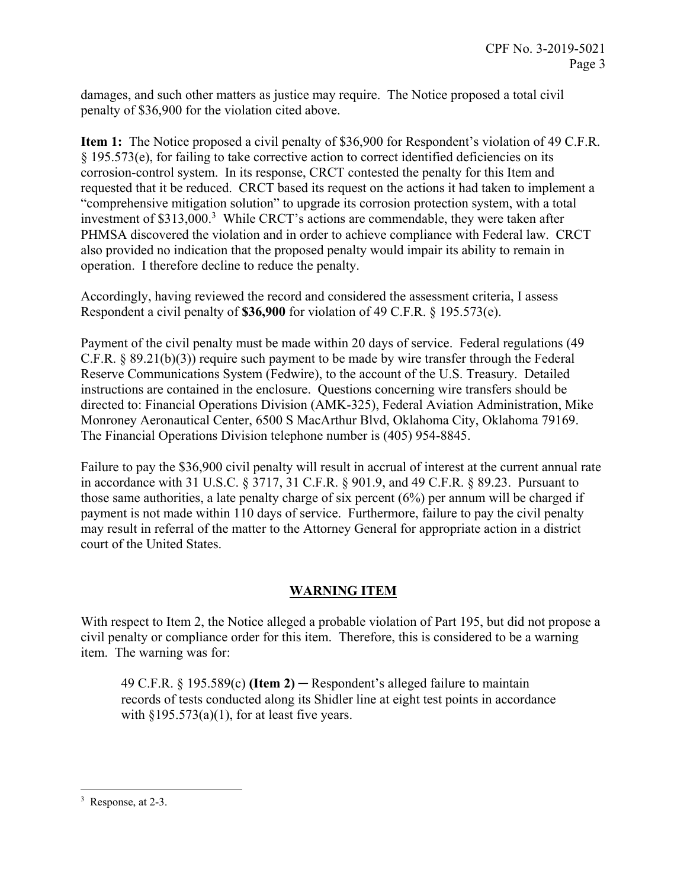damages, and such other matters as justice may require. The Notice proposed a total civil penalty of \$36,900 for the violation cited above.

**Item 1:** The Notice proposed a civil penalty of \$36,900 for Respondent's violation of 49 C.F.R. § 195.573(e), for failing to take corrective action to correct identified deficiencies on its corrosion-control system. In its response, CRCT contested the penalty for this Item and requested that it be reduced. CRCT based its request on the actions it had taken to implement a "comprehensive mitigation solution" to upgrade its corrosion protection system, with a total investment of \$313,000.<sup>3</sup> While CRCT's actions are commendable, they were taken after PHMSA discovered the violation and in order to achieve compliance with Federal law. CRCT also provided no indication that the proposed penalty would impair its ability to remain in operation. I therefore decline to reduce the penalty.

Accordingly, having reviewed the record and considered the assessment criteria, I assess Respondent a civil penalty of **\$36,900** for violation of 49 C.F.R. § 195.573(e).

Payment of the civil penalty must be made within 20 days of service. Federal regulations (49 C.F.R. § 89.21(b)(3)) require such payment to be made by wire transfer through the Federal Reserve Communications System (Fedwire), to the account of the U.S. Treasury. Detailed instructions are contained in the enclosure. Questions concerning wire transfers should be directed to: Financial Operations Division (AMK-325), Federal Aviation Administration, Mike Monroney Aeronautical Center, 6500 S MacArthur Blvd, Oklahoma City, Oklahoma 79169. The Financial Operations Division telephone number is (405) 954-8845.

Failure to pay the \$36,900 civil penalty will result in accrual of interest at the current annual rate in accordance with 31 U.S.C. § 3717, 31 C.F.R. § 901.9, and 49 C.F.R. § 89.23. Pursuant to those same authorities, a late penalty charge of six percent (6%) per annum will be charged if payment is not made within 110 days of service. Furthermore, failure to pay the civil penalty may result in referral of the matter to the Attorney General for appropriate action in a district court of the United States.

# **WARNING ITEM**

With respect to Item 2, the Notice alleged a probable violation of Part 195, but did not propose a civil penalty or compliance order for this item. Therefore, this is considered to be a warning item. The warning was for:

49 C.F.R. § 195.589(c) **(Item 2)** ─ Respondent's alleged failure to maintain records of tests conducted along its Shidler line at eight test points in accordance with  $\S 195.573(a)(1)$ , for at least five years.

 $\overline{a}$ 

<sup>&</sup>lt;sup>3</sup> Response, at 2-3.